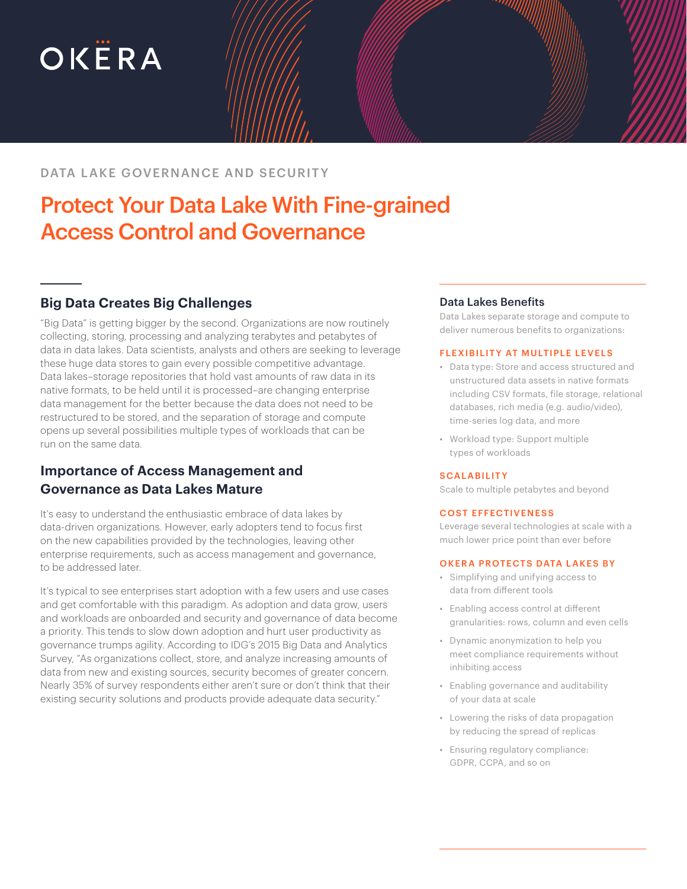# OKËRA

# DATA LAKE GOVERNANCE AND SECURITY

# Protect Your Data Lake With Fine-grained Access Control and Governance

# **Big Data Creates Big Challenges**

"Big Data" is getting bigger by the second. Organizations are now routinely collecting, storing, processing and analyzing terabytes and petabytes of data in data lakes. Data scientists, analysts and others are seeking to leverage these huge data stores to gain every possible competitive advantage. Data lakes–storage repositories that hold vast amounts of raw data in its native formats, to be held until it is processed–are changing enterprise data management for the better because the data does not need to be restructured to be stored, and the separation of storage and compute opens up several possibilities multiple types of workloads that can be run on the same data.

# **Importance of Access Management and Governance as Data Lakes Mature**

It's easy to understand the enthusiastic embrace of data lakes by data-driven organizations. However, early adopters tend to focus first on the new capabilities provided by the technologies, leaving other enterprise requirements, such as access management and governance, to be addressed later.

It's typical to see enterprises start adoption with a few users and use cases and get comfortable with this paradigm. As adoption and data grow, users and workloads are onboarded and security and governance of data become a priority. This tends to slow down adoption and hurt user productivity as governance trumps agility. According to IDG's 2015 Big Data and Analytics Survey, "As organizations collect, store, and analyze increasing amounts of data from new and existing sources, security becomes of greater concern. Nearly 35% of survey respondents either aren't sure or don't think that their existing security solutions and products provide adequate data security."

### Data Lakes Benefits

Data Lakes separate storage and compute to deliver numerous benefits to organizations:

#### FLEXIBILITY AT MULTIPLE LEVELS

- Data type: Store and access structured and unstructured data assets in native formats including CSV formats, file storage, relational databases, rich media (e.g. audio/video), time-series log data, and more
- Workload type: Support multiple types of workloads

#### **SCALABILITY**

Scale to multiple petabytes and beyond

#### COST EFFECTIVENESS

Leverage several technologies at scale with a much lower price point than ever before

#### OKERA PROTECTS DATA LAKES BY

- Simplifying and unifying access to data from different tools
- Enabling access control at different granularities: rows, column and even cells
- Dynamic anonymization to help you meet compliance requirements without inhibiting access
- Enabling governance and auditability of your data at scale
- Lowering the risks of data propagation by reducing the spread of replicas
- Ensuring regulatory compliance: GDPR, CCPA, and so on